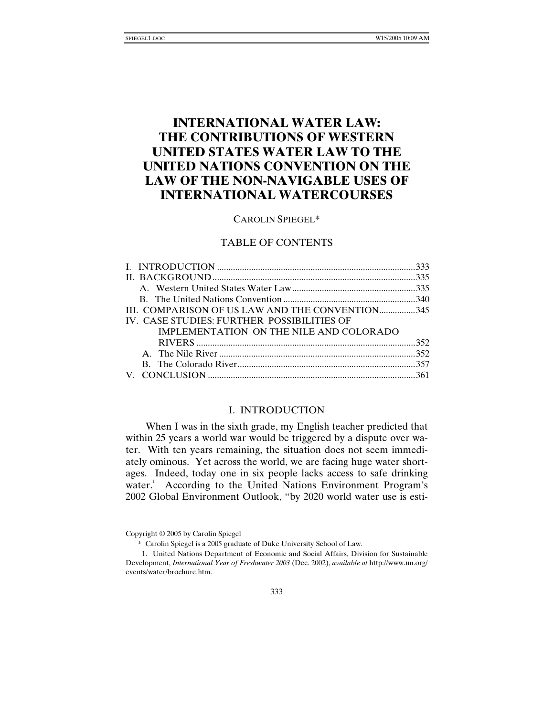# **INTERNATIONAL WATER LAW: THE CONTRIBUTIONS OF WESTERN UNITED STATES WATER LAW TO THE UNITED NATIONS CONVENTION ON THE LAW OF THE NON-NAVIGABLE USES OF INTERNATIONAL WATERCOURSES**

## CAROLIN SPIEGEL\*

# TABLE OF CONTENTS

| III. COMPARISON OF US LAW AND THE CONVENTION345 |  |
|-------------------------------------------------|--|
| IV. CASE STUDIES: FURTHER POSSIBILITIES OF      |  |
| IMPLEMENTATION ON THE NILE AND COLORADO         |  |
|                                                 |  |
|                                                 |  |
|                                                 |  |
|                                                 |  |
|                                                 |  |

## I. INTRODUCTION

When I was in the sixth grade, my English teacher predicted that within 25 years a world war would be triggered by a dispute over water. With ten years remaining, the situation does not seem immediately ominous. Yet across the world, we are facing huge water shortages. Indeed, today one in six people lacks access to safe drinking water.<sup>1</sup> According to the United Nations Environment Program's 2002 Global Environment Outlook, "by 2020 world water use is esti-

Copyright © 2005 by Carolin Spiegel

 <sup>\*</sup> Carolin Spiegel is a 2005 graduate of Duke University School of Law.

 <sup>1.</sup> United Nations Department of Economic and Social Affairs, Division for Sustainable Development, *International Year of Freshwater 2003* (Dec. 2002), *available at* http://www.un.org/ events/water/brochure.htm.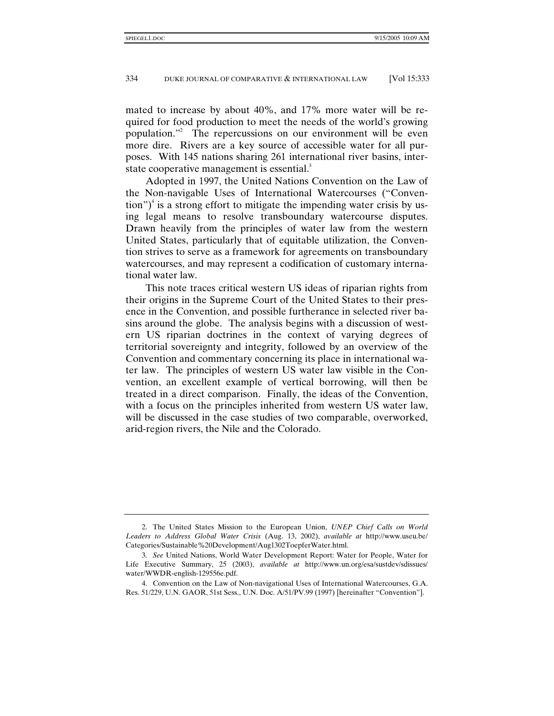mated to increase by about 40%, and 17% more water will be required for food production to meet the needs of the world's growing population."<sup>2</sup> The repercussions on our environment will be even more dire. Rivers are a key source of accessible water for all purposes. With 145 nations sharing 261 international river basins, interstate cooperative management is essential.<sup>3</sup>

Adopted in 1997, the United Nations Convention on the Law of the Non-navigable Uses of International Watercourses ("Conven- $\text{tion}$ ")<sup>4</sup> is a strong effort to mitigate the impending water crisis by using legal means to resolve transboundary watercourse disputes. Drawn heavily from the principles of water law from the western United States, particularly that of equitable utilization, the Convention strives to serve as a framework for agreements on transboundary watercourses, and may represent a codification of customary international water law.

This note traces critical western US ideas of riparian rights from their origins in the Supreme Court of the United States to their presence in the Convention, and possible furtherance in selected river basins around the globe. The analysis begins with a discussion of western US riparian doctrines in the context of varying degrees of territorial sovereignty and integrity, followed by an overview of the Convention and commentary concerning its place in international water law. The principles of western US water law visible in the Convention, an excellent example of vertical borrowing, will then be treated in a direct comparison. Finally, the ideas of the Convention, with a focus on the principles inherited from western US water law, will be discussed in the case studies of two comparable, overworked, arid-region rivers, the Nile and the Colorado.

 <sup>2.</sup> The United States Mission to the European Union, *UNEP Chief Calls on World Leaders to Address Global Water Crisis* (Aug. 13, 2002), *available at* http://www.useu.be/ Categories/Sustainable%20Development/Aug1302ToepferWater.html.

<sup>3</sup>*. See* United Nations, World Water Development Report: Water for People, Water for Life Executive Summary, 25 (2003), *available at* http://www.un.org/esa/sustdev/sdissues/ water/WWDR-english-129556e.pdf.

 <sup>4.</sup> Convention on the Law of Non-navigational Uses of International Watercourses, G.A. Res. 51/229, U.N. GAOR, 51st Sess., U.N. Doc. A/51/PV.99 (1997) [hereinafter "Convention"].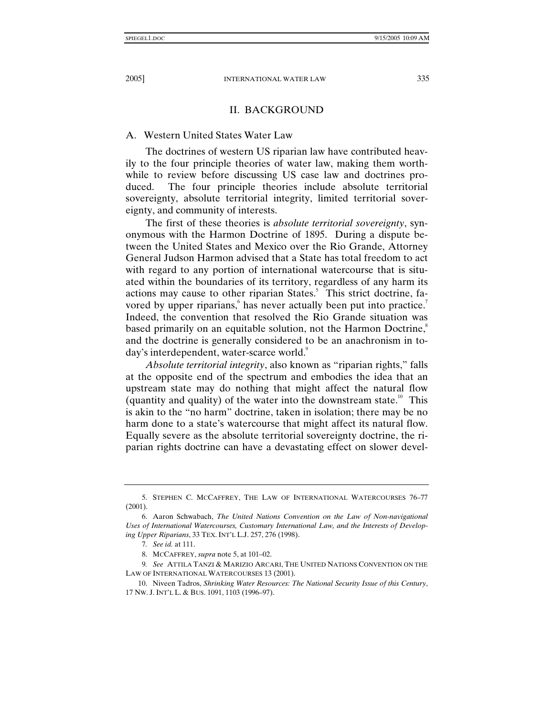# II. BACKGROUND

#### A. Western United States Water Law

The doctrines of western US riparian law have contributed heavily to the four principle theories of water law, making them worthwhile to review before discussing US case law and doctrines produced. The four principle theories include absolute territorial sovereignty, absolute territorial integrity, limited territorial sovereignty, and community of interests.

The first of these theories is *absolute territorial sovereignty*, synonymous with the Harmon Doctrine of 1895. During a dispute between the United States and Mexico over the Rio Grande, Attorney General Judson Harmon advised that a State has total freedom to act with regard to any portion of international watercourse that is situated within the boundaries of its territory, regardless of any harm its actions may cause to other riparian States.<sup>5</sup> This strict doctrine, favored by upper riparians, has never actually been put into practice.<sup>7</sup> Indeed, the convention that resolved the Rio Grande situation was based primarily on an equitable solution, not the Harmon Doctrine,<sup>8</sup> and the doctrine is generally considered to be an anachronism in today's interdependent, water-scarce world.<sup>9</sup>

*Absolute territorial integrity*, also known as "riparian rights," falls at the opposite end of the spectrum and embodies the idea that an upstream state may do nothing that might affect the natural flow (quantity and quality) of the water into the downstream state.<sup>10</sup> This is akin to the "no harm" doctrine, taken in isolation; there may be no harm done to a state's watercourse that might affect its natural flow. Equally severe as the absolute territorial sovereignty doctrine, the riparian rights doctrine can have a devastating effect on slower devel-

 <sup>5.</sup> STEPHEN C. MCCAFFREY, THE LAW OF INTERNATIONAL WATERCOURSES 76–77 (2001).

 <sup>6.</sup> Aaron Schwabach, *The United Nations Convention on the Law of Non-navigational Uses of International Watercourses, Customary International Law, and the Interests of Developing Upper Riparians*, 33 TEX. INT'L L.J. 257, 276 (1998).

<sup>7</sup>*. See id.* at 111.

 <sup>8.</sup> MCCAFFREY, *supra* note 5, at 101–02.

<sup>9</sup>*. See* ATTILA TANZI & MARIZIO ARCARI, THE UNITED NATIONS CONVENTION ON THE LAW OF INTERNATIONAL WATERCOURSES 13 (2001).

 <sup>10.</sup> Niveen Tadros, *Shrinking Water Resources: The National Security Issue of this Century*, 17 NW. J. INT'L L. & BUS. 1091, 1103 (1996–97).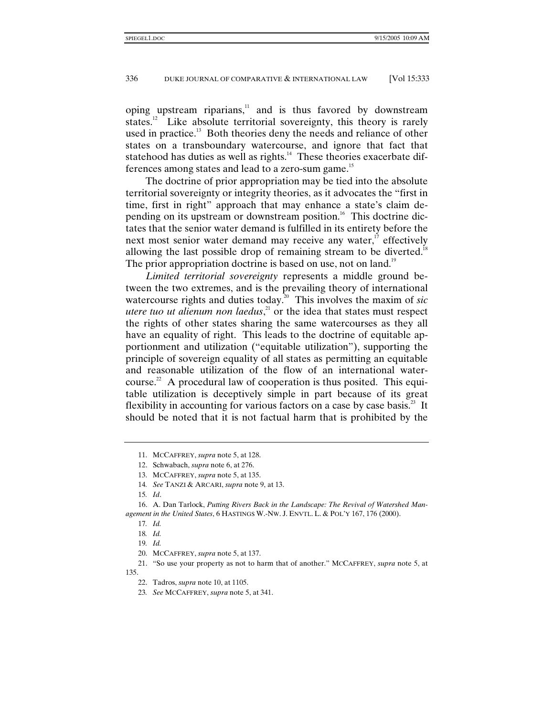oping upstream riparians,<sup>11</sup> and is thus favored by downstream states.<sup>12</sup> Like absolute territorial sovereignty, this theory is rarely used in practice.<sup>13</sup> Both theories deny the needs and reliance of other states on a transboundary watercourse, and ignore that fact that statehood has duties as well as rights. $14$  These theories exacerbate differences among states and lead to a zero-sum game.<sup>15</sup>

The doctrine of prior appropriation may be tied into the absolute territorial sovereignty or integrity theories, as it advocates the "first in time, first in right" approach that may enhance a state's claim depending on its upstream or downstream position.<sup>16</sup> This doctrine dictates that the senior water demand is fulfilled in its entirety before the next most senior water demand may receive any water, $\frac{17}{17}$  effectively allowing the last possible drop of remaining stream to be diverted.<sup>18</sup> The prior appropriation doctrine is based on use, not on land.<sup>19</sup>

*Limited territorial sovereignty* represents a middle ground between the two extremes, and is the prevailing theory of international watercourse rights and duties today.<sup>20</sup> This involves the maxim of *sic utere tuo ut alienum non laedus*,<sup>21</sup> or the idea that states must respect the rights of other states sharing the same watercourses as they all have an equality of right. This leads to the doctrine of equitable apportionment and utilization ("equitable utilization"), supporting the principle of sovereign equality of all states as permitting an equitable and reasonable utilization of the flow of an international watercourse.<sup>22</sup> A procedural law of cooperation is thus posited. This equitable utilization is deceptively simple in part because of its great flexibility in accounting for various factors on a case by case basis.<sup>23</sup> It should be noted that it is not factual harm that is prohibited by the

 16. A. Dan Tarlock, *Putting Rivers Back in the Landscape: The Revival of Watershed Management in the United States*, 6 HASTINGS W.-NW. J. ENVTL. L. & POL'Y 167, 176 (2000).

 <sup>11.</sup> MCCAFFREY, *supra* note 5, at 128.

 <sup>12.</sup> Schwabach, *supra* note 6, at 276.

 <sup>13.</sup> MCCAFFREY, *supra* note 5, at 135.

<sup>14</sup>*. See* TANZI & ARCARI, *supra* note 9, at 13.

<sup>15</sup>*. Id*.

<sup>17</sup>*. Id.*

<sup>18</sup>*. Id.*

<sup>19</sup>*. Id.*

 <sup>20.</sup> MCCAFFREY, *supra* note 5, at 137.

 <sup>21. &</sup>quot;So use your property as not to harm that of another." MCCAFFREY, *supra* note 5, at 135.

 <sup>22.</sup> Tadros, *supra* note 10, at 1105.

<sup>23</sup>*. See* MCCAFFREY, *supra* note 5, at 341.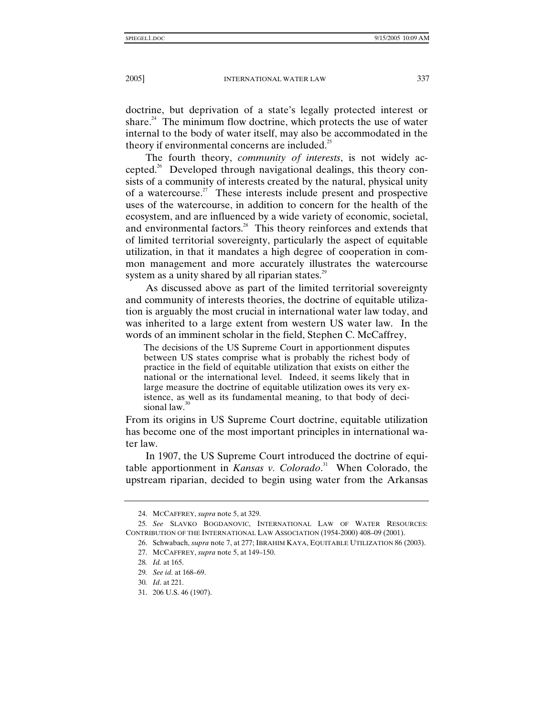doctrine, but deprivation of a state's legally protected interest or share. $24$  The minimum flow doctrine, which protects the use of water internal to the body of water itself, may also be accommodated in the theory if environmental concerns are included. $^{25}$ 

The fourth theory, *community of interests*, is not widely accepted.<sup>26</sup> Developed through navigational dealings, this theory consists of a community of interests created by the natural, physical unity of a watercourse.<sup>27</sup> These interests include present and prospective uses of the watercourse, in addition to concern for the health of the ecosystem, and are influenced by a wide variety of economic, societal, and environmental factors.<sup>28</sup> This theory reinforces and extends that of limited territorial sovereignty, particularly the aspect of equitable utilization, in that it mandates a high degree of cooperation in common management and more accurately illustrates the watercourse system as a unity shared by all riparian states.<sup>29</sup>

As discussed above as part of the limited territorial sovereignty and community of interests theories, the doctrine of equitable utilization is arguably the most crucial in international water law today, and was inherited to a large extent from western US water law. In the words of an imminent scholar in the field, Stephen C. McCaffrey,

The decisions of the US Supreme Court in apportionment disputes between US states comprise what is probably the richest body of practice in the field of equitable utilization that exists on either the national or the international level. Indeed, it seems likely that in large measure the doctrine of equitable utilization owes its very existence, as well as its fundamental meaning, to that body of decisional law.<sup>30</sup>

From its origins in US Supreme Court doctrine, equitable utilization has become one of the most important principles in international water law.

In 1907, the US Supreme Court introduced the doctrine of equitable apportionment in *Kansas v. Colorado*. 31 When Colorado, the upstream riparian, decided to begin using water from the Arkansas

 <sup>24.</sup> MCCAFFREY, *supra* note 5, at 329.

<sup>25</sup>*. See* SLAVKO BOGDANOVIC, INTERNATIONAL LAW OF WATER RESOURCES: CONTRIBUTION OF THE INTERNATIONAL LAW ASSOCIATION (1954-2000) 408–09 (2001).

 <sup>26.</sup> Schwabach, *supra* note 7, at 277; IBRAHIM KAYA, EQUITABLE UTILIZATION 86 (2003).

 <sup>27.</sup> MCCAFFREY, *supra* note 5, at 149–150.

<sup>28</sup>*. Id.* at 165.

<sup>29</sup>*. See id*. at 168–69.

<sup>30</sup>*. Id*. at 221.

 <sup>31. 206</sup> U.S. 46 (1907).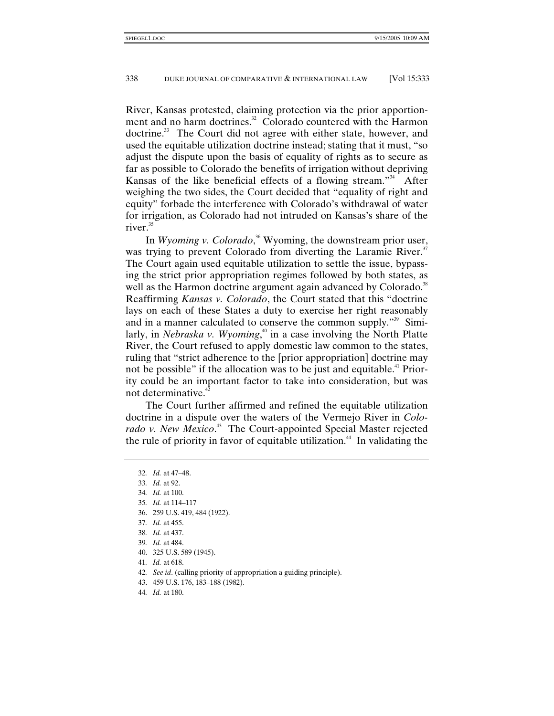River, Kansas protested, claiming protection via the prior apportionment and no harm doctrines.<sup>32</sup> Colorado countered with the Harmon doctrine.<sup>33</sup> The Court did not agree with either state, however, and used the equitable utilization doctrine instead; stating that it must, "so adjust the dispute upon the basis of equality of rights as to secure as far as possible to Colorado the benefits of irrigation without depriving Kansas of the like beneficial effects of a flowing stream."<sup>34</sup> After weighing the two sides, the Court decided that "equality of right and equity" forbade the interference with Colorado's withdrawal of water for irrigation, as Colorado had not intruded on Kansas's share of the river.<sup>35</sup>

In *Wyoming v. Colorado*, 36 Wyoming, the downstream prior user, was trying to prevent Colorado from diverting the Laramie River.<sup>37</sup> The Court again used equitable utilization to settle the issue, bypassing the strict prior appropriation regimes followed by both states, as well as the Harmon doctrine argument again advanced by Colorado.<sup>38</sup> Reaffirming *Kansas v. Colorado*, the Court stated that this "doctrine lays on each of these States a duty to exercise her right reasonably and in a manner calculated to conserve the common supply."<sup>39</sup> Similarly, in *Nebraska v. Wyoming*,<sup>40</sup> in a case involving the North Platte River, the Court refused to apply domestic law common to the states, ruling that "strict adherence to the [prior appropriation] doctrine may not be possible" if the allocation was to be just and equitable.<sup>41</sup> Priority could be an important factor to take into consideration, but was not determinative.<sup>42</sup>

The Court further affirmed and refined the equitable utilization doctrine in a dispute over the waters of the Vermejo River in *Colo*rado v. New Mexico.<sup>43</sup> The Court-appointed Special Master rejected the rule of priority in favor of equitable utilization.<sup>44</sup> In validating the

- 36. 259 U.S. 419, 484 (1922).
- 37*. Id.* at 455.
- 38*. Id.* at 437.
- 39*. Id.* at 484.
- 40. 325 U.S. 589 (1945).
- 41*. Id.* at 618.
- 42*. See id*. (calling priority of appropriation a guiding principle).
- 43. 459 U.S. 176, 183–188 (1982).
- 44*. Id.* at 180.

<sup>32</sup>*. Id.* at 47–48.

<sup>33</sup>*. Id.* at 92.

<sup>34</sup>*. Id.* at 100.

<sup>35</sup>*. Id.* at 114–117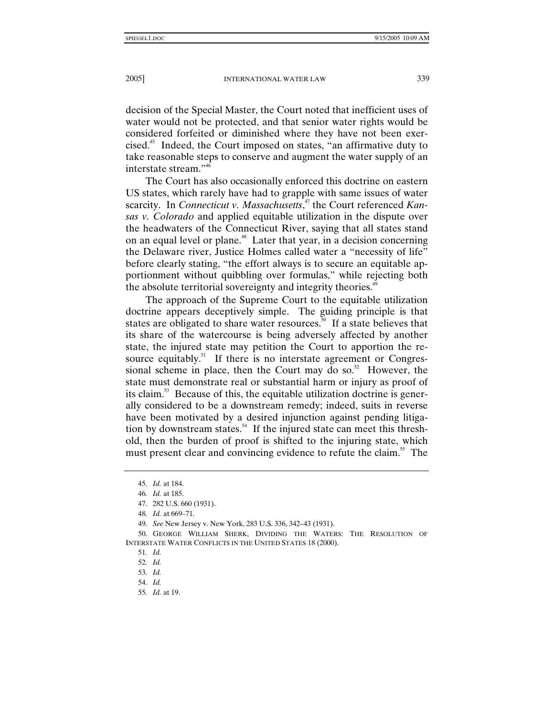decision of the Special Master, the Court noted that inefficient uses of water would not be protected, and that senior water rights would be considered forfeited or diminished where they have not been exercised.45 Indeed, the Court imposed on states, "an affirmative duty to take reasonable steps to conserve and augment the water supply of an interstate stream."46

The Court has also occasionally enforced this doctrine on eastern US states, which rarely have had to grapple with same issues of water scarcity. In *Connecticut v. Massachusetts*, 47 the Court referenced *Kansas v. Colorado* and applied equitable utilization in the dispute over the headwaters of the Connecticut River, saying that all states stand on an equal level or plane.<sup>48</sup> Later that year, in a decision concerning the Delaware river, Justice Holmes called water a "necessity of life" before clearly stating, "the effort always is to secure an equitable apportionment without quibbling over formulas," while rejecting both the absolute territorial sovereignty and integrity theories.<sup>49</sup>

The approach of the Supreme Court to the equitable utilization doctrine appears deceptively simple. The guiding principle is that states are obligated to share water resources.<sup>50</sup> If a state believes that its share of the watercourse is being adversely affected by another state, the injured state may petition the Court to apportion the resource equitably.<sup>51</sup> If there is no interstate agreement or Congressional scheme in place, then the Court may do so. $52$  However, the state must demonstrate real or substantial harm or injury as proof of its claim.<sup>53</sup> Because of this, the equitable utilization doctrine is generally considered to be a downstream remedy; indeed, suits in reverse have been motivated by a desired injunction against pending litigation by downstream states.<sup>54</sup> If the injured state can meet this threshold, then the burden of proof is shifted to the injuring state, which must present clear and convincing evidence to refute the claim.<sup>55</sup> The

 50. GEORGE WILLIAM SHERK, DIVIDING THE WATERS: THE RESOLUTION OF INTERSTATE WATER CONFLICTS IN THE UNITED STATES 18 (2000).

51*. Id.*

<sup>45</sup>*. Id.* at 184.

<sup>46</sup>*. Id.* at 185.

 <sup>47. 282</sup> U.S. 660 (1931).

<sup>48</sup>*. Id.* at 669–71.

<sup>49</sup>*. See* New Jersey v. New York, 283 U.S. 336, 342–43 (1931).

<sup>52</sup>*. Id.*

<sup>53</sup>*. Id.*

<sup>54</sup>*. Id.*

<sup>55</sup>*. Id.* at 19.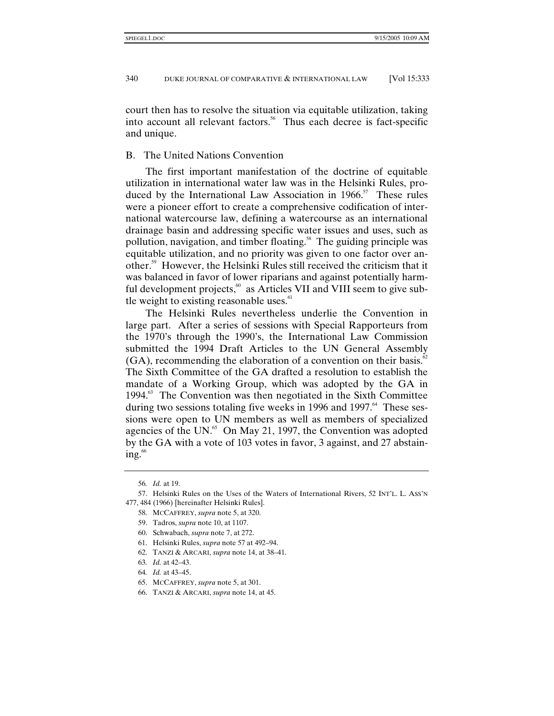court then has to resolve the situation via equitable utilization, taking into account all relevant factors.<sup>56</sup> Thus each decree is fact-specific and unique.

# B. The United Nations Convention

The first important manifestation of the doctrine of equitable utilization in international water law was in the Helsinki Rules, produced by the International Law Association in  $1966$ <sup>57</sup> These rules were a pioneer effort to create a comprehensive codification of international watercourse law, defining a watercourse as an international drainage basin and addressing specific water issues and uses, such as pollution, navigation, and timber floating.<sup>58</sup> The guiding principle was equitable utilization, and no priority was given to one factor over another.59 However, the Helsinki Rules still received the criticism that it was balanced in favor of lower riparians and against potentially harmful development projects,<sup>60</sup> as Articles VII and VIII seem to give subtle weight to existing reasonable uses. $61$ 

The Helsinki Rules nevertheless underlie the Convention in large part. After a series of sessions with Special Rapporteurs from the 1970's through the 1990's, the International Law Commission submitted the 1994 Draft Articles to the UN General Assembly  $(GA)$ , recommending the elaboration of a convention on their basis.<sup>82</sup> The Sixth Committee of the GA drafted a resolution to establish the mandate of a Working Group, which was adopted by the GA in 1994<sup>.63</sup> The Convention was then negotiated in the Sixth Committee during two sessions totaling five weeks in 1996 and 1997.<sup>64</sup> These sessions were open to UN members as well as members of specialized agencies of the UN. $^{65}$  On May 21, 1997, the Convention was adopted by the GA with a vote of 103 votes in favor, 3 against, and 27 abstain $ing.^{66}$ 

- 60. Schwabach, *supra* note 7, at 272.
- 61. Helsinki Rules, *supra* note 57 at 492–94.
- 62. TANZI & ARCARI, *supra* note 14, at 38–41.
- 63*. Id.* at 42–43.
- 64*. Id.* at 43–45.
- 65. MCCAFFREY, *supra* note 5, at 301.
- 66. TANZI & ARCARI, *supra* note 14, at 45.

<sup>56</sup>*. Id.* at 19.

 <sup>57.</sup> Helsinki Rules on the Uses of the Waters of International Rivers, 52 INT'L. L. ASS'N 477, 484 (1966) [hereinafter Helsinki Rules].

 <sup>58.</sup> MCCAFFREY, *supra* note 5, at 320.

 <sup>59.</sup> Tadros, *supra* note 10, at 1107.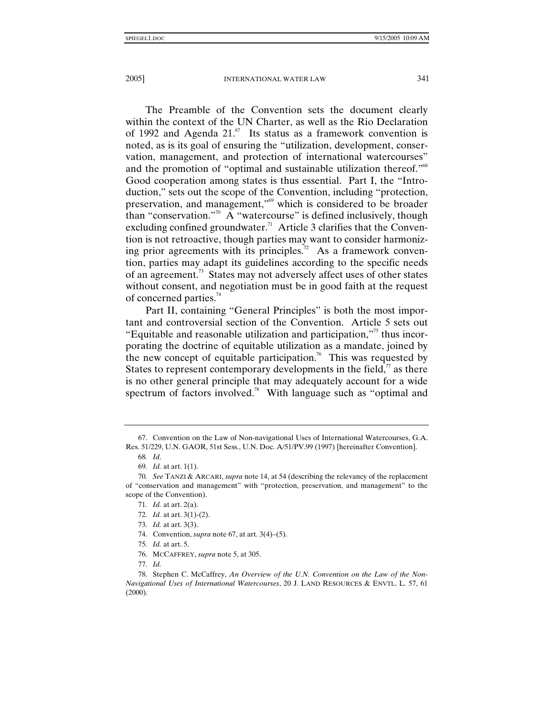The Preamble of the Convention sets the document clearly within the context of the UN Charter, as well as the Rio Declaration of 1992 and Agenda  $21$ .<sup>67</sup> Its status as a framework convention is noted, as is its goal of ensuring the "utilization, development, conservation, management, and protection of international watercourses" and the promotion of "optimal and sustainable utilization thereof."<sup>68</sup> Good cooperation among states is thus essential. Part I, the "Introduction," sets out the scope of the Convention, including "protection, preservation, and management,"69 which is considered to be broader than "conservation."<sup>70</sup> A "watercourse" is defined inclusively, though excluding confined groundwater.<sup>71</sup> Article 3 clarifies that the Convention is not retroactive, though parties may want to consider harmonizing prior agreements with its principles.<sup>72</sup> As a framework convention, parties may adapt its guidelines according to the specific needs of an agreement.<sup>73</sup> States may not adversely affect uses of other states without consent, and negotiation must be in good faith at the request of concerned parties.<sup>74</sup>

Part II, containing "General Principles" is both the most important and controversial section of the Convention. Article 5 sets out "Equitable and reasonable utilization and participation,"75 thus incorporating the doctrine of equitable utilization as a mandate, joined by the new concept of equitable participation.<sup>76</sup> This was requested by States to represent contemporary developments in the field, $\alpha$  as there is no other general principle that may adequately account for a wide spectrum of factors involved.<sup>78</sup> With language such as "optimal and

73*. Id.* at art. 3(3).

75*. Id.* at art. 5.

 <sup>67.</sup> Convention on the Law of Non-navigational Uses of International Watercourses, G.A. Res. 51/229, U.N. GAOR, 51st Sess., U.N. Doc. A/51/PV.99 (1997) [hereinafter Convention].

<sup>68</sup>*. Id*.

<sup>69</sup>*. Id.* at art. 1(1).

<sup>70</sup>*. See* TANZI & ARCARI, *supra* note 14, at 54 (describing the relevancy of the replacement of "conservation and management" with "protection, preservation, and management" to the scope of the Convention).

<sup>71</sup>*. Id.* at art. 2(a).

<sup>72</sup>*. Id.* at art. 3(1)-(2).

 <sup>74.</sup> Convention, *supra* note 67, at art. 3(4)–(5).

 <sup>76.</sup> MCCAFFREY, *supra* note 5, at 305.

<sup>77</sup>*. Id.*

 <sup>78.</sup> Stephen C. McCaffrey, *An Overview of the U.N. Convention on the Law of the Non-Navigational Uses of International Watercourses*, 20 J. LAND RESOURCES & ENVTL. L. 57, 61 (2000).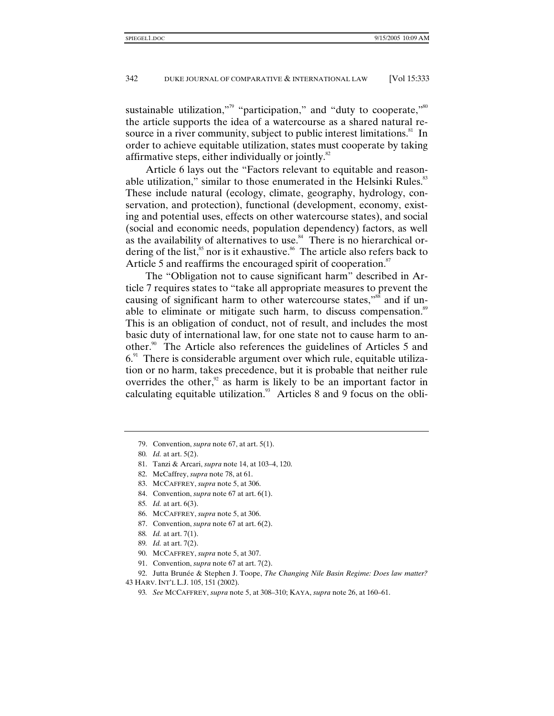sustainable utilization,"<sup>9</sup> "participation," and "duty to cooperate,"<sup>80</sup> the article supports the idea of a watercourse as a shared natural resource in a river community, subject to public interest limitations.<sup>81</sup> In order to achieve equitable utilization, states must cooperate by taking affirmative steps, either individually or jointly. $82$ 

Article 6 lays out the "Factors relevant to equitable and reasonable utilization," similar to those enumerated in the Helsinki Rules.<sup>83</sup> These include natural (ecology, climate, geography, hydrology, conservation, and protection), functional (development, economy, existing and potential uses, effects on other watercourse states), and social (social and economic needs, population dependency) factors, as well as the availability of alternatives to use.<sup>84</sup> There is no hierarchical ordering of the list, ${}^{85}$  nor is it exhaustive. ${}^{86}$  The article also refers back to Article 5 and reaffirms the encouraged spirit of cooperation.<sup>87</sup>

The "Obligation not to cause significant harm" described in Article 7 requires states to "take all appropriate measures to prevent the causing of significant harm to other watercourse states,"<sup>88</sup> and if unable to eliminate or mitigate such harm, to discuss compensation.<sup>89</sup> This is an obligation of conduct, not of result, and includes the most basic duty of international law, for one state not to cause harm to another.<sup>90</sup> The Article also references the guidelines of Articles 5 and  $6<sup>91</sup>$  There is considerable argument over which rule, equitable utilization or no harm, takes precedence, but it is probable that neither rule overrides the other, $\frac{92}{8}$  as harm is likely to be an important factor in calculating equitable utilization. $93$  Articles 8 and 9 focus on the obli-

- 81. Tanzi & Arcari, *supra* note 14, at 103–4, 120.
- 82. McCaffrey, *supra* note 78, at 61.
- 83. MCCAFFREY, *supra* note 5, at 306.
- 84. Convention, *supra* note 67 at art. 6(1).
- 85*. Id.* at art. 6(3).
- 86. MCCAFFREY, *supra* note 5, at 306.
- 87. Convention, *supra* note 67 at art. 6(2).
- 88*. Id.* at art. 7(1).
- 89*. Id.* at art. 7(2).
- 90. MCCAFFREY, *supra* note 5, at 307.
- 91. Convention, *supra* note 67 at art. 7(2).

93*. See* MCCAFFREY, *supra* note 5, at 308–310; KAYA, *supra* note 26, at 160–61.

 <sup>79.</sup> Convention, *supra* note 67, at art. 5(1).

<sup>80</sup>*. Id.* at art. 5(2).

 <sup>92.</sup> Jutta Brunée & Stephen J. Toope, *The Changing Nile Basin Regime: Does law matter?*

<sup>43</sup> HARV. INT'L L.J. 105, 151 (2002).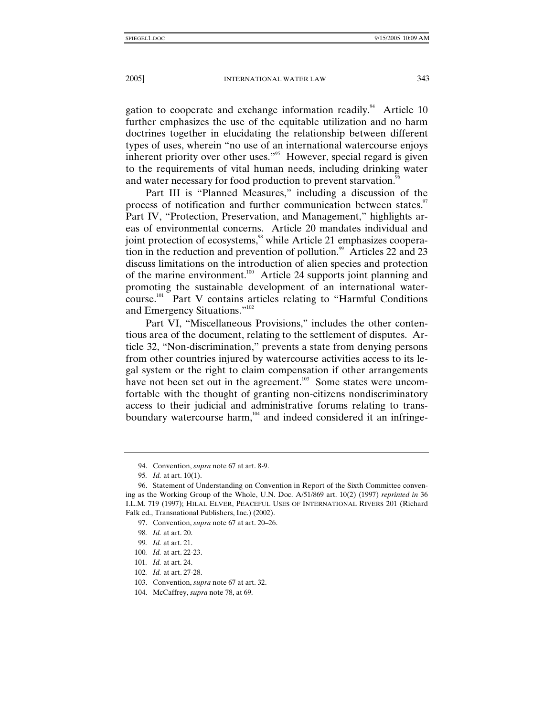gation to cooperate and exchange information readily.<sup>94</sup> Article 10 further emphasizes the use of the equitable utilization and no harm doctrines together in elucidating the relationship between different types of uses, wherein "no use of an international watercourse enjoys inherent priority over other uses."<sup>95</sup> However, special regard is given to the requirements of vital human needs, including drinking water and water necessary for food production to prevent starvation.<sup>96</sup>

Part III is "Planned Measures," including a discussion of the process of notification and further communication between states.<sup>97</sup> Part IV, "Protection, Preservation, and Management," highlights areas of environmental concerns. Article 20 mandates individual and joint protection of ecosystems,<sup>98</sup> while Article 21 emphasizes cooperation in the reduction and prevention of pollution. $99$  Articles 22 and 23 discuss limitations on the introduction of alien species and protection of the marine environment.<sup>100</sup> Article 24 supports joint planning and promoting the sustainable development of an international watercourse.101 Part V contains articles relating to "Harmful Conditions and Emergency Situations."<sup>102</sup>

Part VI, "Miscellaneous Provisions," includes the other contentious area of the document, relating to the settlement of disputes. Article 32, "Non-discrimination," prevents a state from denying persons from other countries injured by watercourse activities access to its legal system or the right to claim compensation if other arrangements have not been set out in the agreement.<sup>103</sup> Some states were uncomfortable with the thought of granting non-citizens nondiscriminatory access to their judicial and administrative forums relating to transboundary watercourse harm, $104$  and indeed considered it an infringe-

 <sup>94.</sup> Convention, *supra* note 67 at art. 8-9.

<sup>95</sup>*. Id.* at art. 10(1).

 <sup>96.</sup> Statement of Understanding on Convention in Report of the Sixth Committee convening as the Working Group of the Whole, U.N. Doc. A/51/869 art. 10(2) (1997) *reprinted in* 36 I.L.M. 719 (1997); HILAL ELVER, PEACEFUL USES OF INTERNATIONAL RIVERS 201 (Richard Falk ed., Transnational Publishers, Inc.) (2002).

 <sup>97.</sup> Convention, *supra* note 67 at art. 20–26.

<sup>98</sup>*. Id.* at art. 20.

<sup>99</sup>*. Id.* at art. 21.

<sup>100</sup>*. Id.* at art. 22-23.

<sup>101</sup>*. Id.* at art. 24.

<sup>102</sup>*. Id.* at art. 27-28.

 <sup>103.</sup> Convention, *supra* note 67 at art. 32.

 <sup>104.</sup> McCaffrey, *supra* note 78, at 69.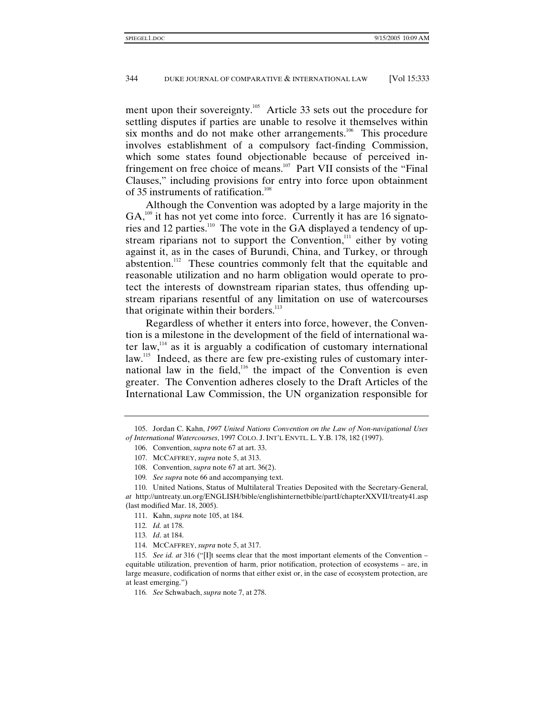ment upon their sovereignty.<sup>105</sup> Article 33 sets out the procedure for settling disputes if parties are unable to resolve it themselves within six months and do not make other arrangements.<sup>106</sup> This procedure involves establishment of a compulsory fact-finding Commission, which some states found objectionable because of perceived infringement on free choice of means.<sup>107</sup> Part VII consists of the "Final" Clauses," including provisions for entry into force upon obtainment of 35 instruments of ratification.<sup>108</sup>

Although the Convention was adopted by a large majority in the  $GA<sub>109</sub>$  it has not yet come into force. Currently it has are 16 signatories and 12 parties.<sup>110</sup> The vote in the GA displayed a tendency of upstream riparians not to support the Convention, $111$  either by voting against it, as in the cases of Burundi, China, and Turkey, or through abstention.<sup>112</sup> These countries commonly felt that the equitable and reasonable utilization and no harm obligation would operate to protect the interests of downstream riparian states, thus offending upstream riparians resentful of any limitation on use of watercourses that originate within their borders.<sup>113</sup>

Regardless of whether it enters into force, however, the Convention is a milestone in the development of the field of international water law, $114$  as it is arguably a codification of customary international law.<sup>115</sup> Indeed, as there are few pre-existing rules of customary international law in the field, $116$  the impact of the Convention is even greater. The Convention adheres closely to the Draft Articles of the International Law Commission, the UN organization responsible for

 <sup>105.</sup> Jordan C. Kahn, *1997 United Nations Convention on the Law of Non-navigational Uses of International Watercourses*, 1997 COLO. J. INT'L ENVTL. L. Y.B. 178, 182 (1997).

 <sup>106.</sup> Convention, *supra* note 67 at art. 33.

 <sup>107.</sup> MCCAFFREY, *supra* note 5, at 313.

 <sup>108.</sup> Convention, *supra* note 67 at art. 36(2).

<sup>109</sup>*. See supra* note 66 and accompanying text.

 <sup>110.</sup> United Nations, Status of Multilateral Treaties Deposited with the Secretary-General, *at* http://untreaty.un.org/ENGLISH/bible/englishinternetbible/partI/chapterXXVII/treaty41.asp (last modified Mar. 18, 2005).

 <sup>111.</sup> Kahn, *supra* note 105, at 184.

<sup>112</sup>*. Id.* at 178.

<sup>113</sup>*. Id*. at 184.

 <sup>114.</sup> MCCAFFREY, *supra* note 5, at 317.

<sup>115</sup>*. See id. at* 316 ("[I]t seems clear that the most important elements of the Convention – equitable utilization, prevention of harm, prior notification, protection of ecosystems – are, in large measure, codification of norms that either exist or, in the case of ecosystem protection, are at least emerging.")

<sup>116</sup>*. See* Schwabach, *supra* note 7, at 278.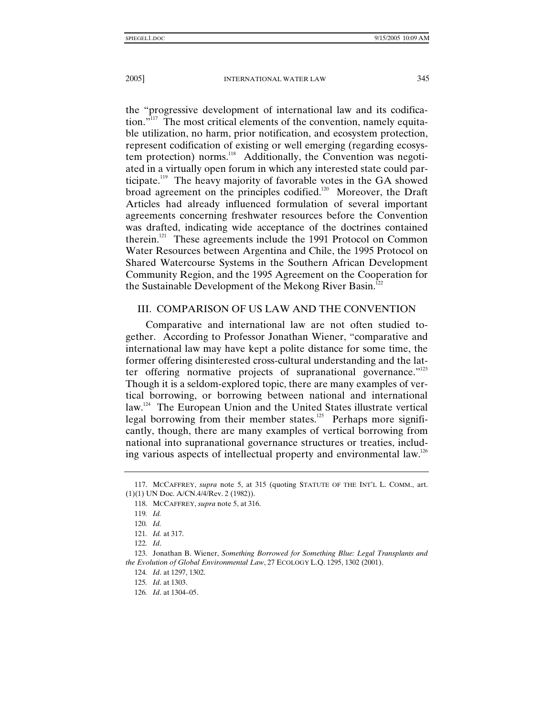the "progressive development of international law and its codification. $\mathbf{r}^{\text{117}}$  The most critical elements of the convention, namely equitable utilization, no harm, prior notification, and ecosystem protection, represent codification of existing or well emerging (regarding ecosystem protection) norms.<sup>118</sup> Additionally, the Convention was negotiated in a virtually open forum in which any interested state could participate.119 The heavy majority of favorable votes in the GA showed broad agreement on the principles codified.<sup>120</sup> Moreover, the Draft Articles had already influenced formulation of several important agreements concerning freshwater resources before the Convention was drafted, indicating wide acceptance of the doctrines contained therein.<sup>121</sup> These agreements include the 1991 Protocol on Common Water Resources between Argentina and Chile, the 1995 Protocol on Shared Watercourse Systems in the Southern African Development Community Region, and the 1995 Agreement on the Cooperation for the Sustainable Development of the Mekong River Basin.<sup>122</sup>

# III. COMPARISON OF US LAW AND THE CONVENTION

Comparative and international law are not often studied together. According to Professor Jonathan Wiener, "comparative and international law may have kept a polite distance for some time, the former offering disinterested cross-cultural understanding and the latter offering normative projects of supranational governance."<sup>123</sup> Though it is a seldom-explored topic, there are many examples of vertical borrowing, or borrowing between national and international law.<sup>124</sup> The European Union and the United States illustrate vertical legal borrowing from their member states.<sup>125</sup> Perhaps more significantly, though, there are many examples of vertical borrowing from national into supranational governance structures or treaties, including various aspects of intellectual property and environmental law.<sup>126</sup>

 <sup>117.</sup> MCCAFFREY, *supra* note 5, at 315 (quoting STATUTE OF THE INT'L L. COMM., art. (1)(1) UN Doc. A/CN.4/4/Rev. 2 (1982)).

 <sup>118.</sup> MCCAFFREY, *supra* note 5, at 316.

<sup>119</sup>*. Id.*

<sup>120</sup>*. Id.*

<sup>121</sup>*. Id.* at 317.

<sup>122</sup>*. Id*.

 <sup>123.</sup> Jonathan B. Wiener, *Something Borrowed for Something Blue: Legal Transplants and the Evolution of Global Environmental Law*, 27 ECOLOGY L.Q. 1295, 1302 (2001).

<sup>124</sup>*. Id*. at 1297, 1302.

<sup>125</sup>*. Id*. at 1303.

<sup>126</sup>*. Id*. at 1304–05.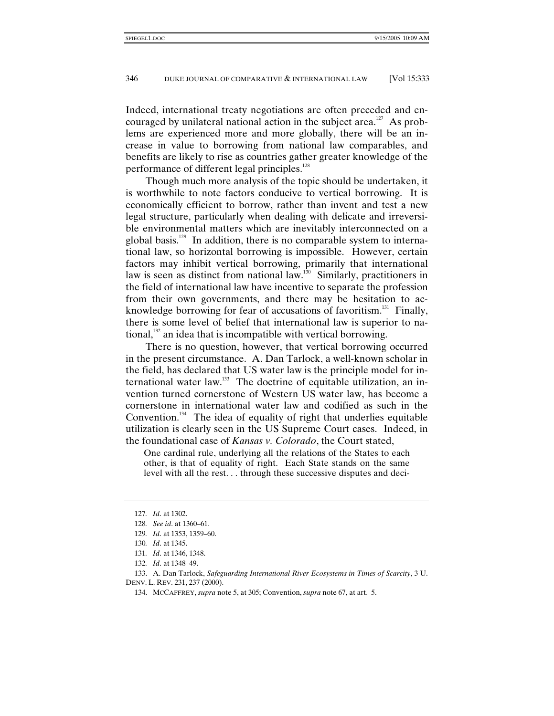Indeed, international treaty negotiations are often preceded and encouraged by unilateral national action in the subject area.<sup>127</sup> As problems are experienced more and more globally, there will be an increase in value to borrowing from national law comparables, and benefits are likely to rise as countries gather greater knowledge of the performance of different legal principles.<sup>128</sup>

Though much more analysis of the topic should be undertaken, it is worthwhile to note factors conducive to vertical borrowing. It is economically efficient to borrow, rather than invent and test a new legal structure, particularly when dealing with delicate and irreversible environmental matters which are inevitably interconnected on a global basis.<sup>129</sup> In addition, there is no comparable system to international law, so horizontal borrowing is impossible. However, certain factors may inhibit vertical borrowing, primarily that international law is seen as distinct from national law.<sup>130</sup> Similarly, practitioners in the field of international law have incentive to separate the profession from their own governments, and there may be hesitation to acknowledge borrowing for fear of accusations of favoritism.<sup>131</sup> Finally, there is some level of belief that international law is superior to national, $132$  an idea that is incompatible with vertical borrowing.

There is no question, however, that vertical borrowing occurred in the present circumstance. A. Dan Tarlock, a well-known scholar in the field, has declared that US water law is the principle model for international water law. $133$  The doctrine of equitable utilization, an invention turned cornerstone of Western US water law, has become a cornerstone in international water law and codified as such in the Convention.<sup>134</sup> The idea of equality of right that underlies equitable utilization is clearly seen in the US Supreme Court cases. Indeed, in the foundational case of *Kansas v. Colorado*, the Court stated,

One cardinal rule, underlying all the relations of the States to each other, is that of equality of right. Each State stands on the same level with all the rest. . . through these successive disputes and deci-

- 131*. Id*. at 1346, 1348.
- 132*. Id*. at 1348–49.

<sup>127</sup>*. Id*. at 1302.

<sup>128</sup>*. See id*. at 1360–61.

<sup>129</sup>*. Id*. at 1353, 1359–60.

<sup>130</sup>*. Id*. at 1345.

 <sup>133.</sup> A. Dan Tarlock, *Safeguarding International River Ecosystems in Times of Scarcity*, 3 U. DENV. L. REV. 231, 237 (2000).

 <sup>134.</sup> MCCAFFREY, *supra* note 5, at 305; Convention, *supra* note 67, at art. 5.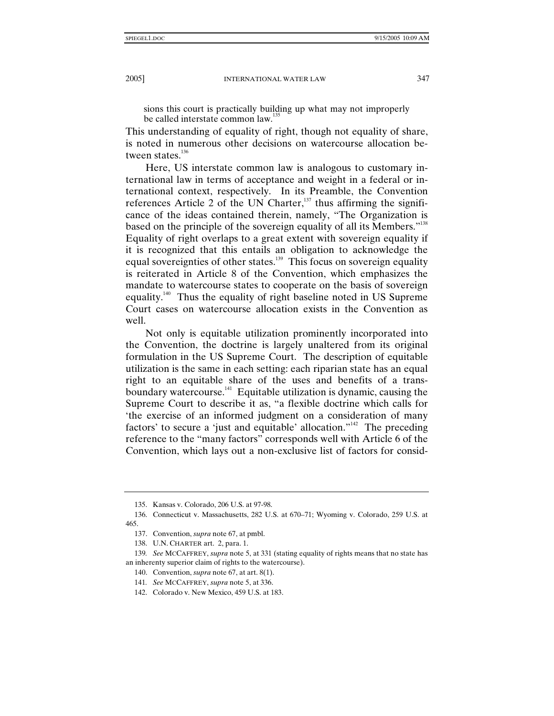sions this court is practically building up what may not improperly be called interstate common law.<sup>135</sup>

This understanding of equality of right, though not equality of share, is noted in numerous other decisions on watercourse allocation between states.<sup>136</sup>

Here, US interstate common law is analogous to customary international law in terms of acceptance and weight in a federal or international context, respectively. In its Preamble, the Convention references Article 2 of the UN Charter, $137$  thus affirming the significance of the ideas contained therein, namely, "The Organization is based on the principle of the sovereign equality of all its Members."<sup>138</sup> Equality of right overlaps to a great extent with sovereign equality if it is recognized that this entails an obligation to acknowledge the equal sovereignties of other states.<sup>139</sup> This focus on sovereign equality is reiterated in Article 8 of the Convention, which emphasizes the mandate to watercourse states to cooperate on the basis of sovereign equality.140 Thus the equality of right baseline noted in US Supreme Court cases on watercourse allocation exists in the Convention as well.

Not only is equitable utilization prominently incorporated into the Convention, the doctrine is largely unaltered from its original formulation in the US Supreme Court. The description of equitable utilization is the same in each setting: each riparian state has an equal right to an equitable share of the uses and benefits of a transboundary watercourse.<sup>141</sup> Equitable utilization is dynamic, causing the Supreme Court to describe it as, "a flexible doctrine which calls for 'the exercise of an informed judgment on a consideration of many factors' to secure a 'just and equitable' allocation."<sup>142</sup> The preceding reference to the "many factors" corresponds well with Article 6 of the Convention, which lays out a non-exclusive list of factors for consid-

 <sup>135.</sup> Kansas v. Colorado, 206 U.S. at 97-98.

 <sup>136.</sup> Connecticut v. Massachusetts, 282 U.S. at 670–71; Wyoming v. Colorado, 259 U.S. at 465.

 <sup>137.</sup> Convention, *supra* note 67, at pmbl.

 <sup>138.</sup> U.N. CHARTER art. 2, para. 1.

<sup>139</sup>*. See* MCCAFFREY, *supra* note 5, at 331 (stating equality of rights means that no state has an inherenty superior claim of rights to the watercourse).

 <sup>140.</sup> Convention, *supra* note 67, at art. 8(1).

<sup>141</sup>*. See* MCCAFFREY, *supra* note 5, at 336.

 <sup>142.</sup> Colorado v. New Mexico, 459 U.S. at 183.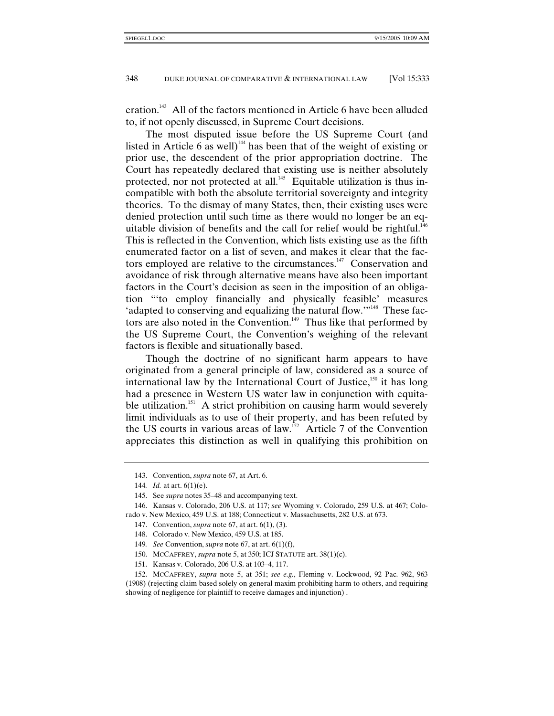eration.<sup>143</sup> All of the factors mentioned in Article 6 have been alluded to, if not openly discussed, in Supreme Court decisions.

The most disputed issue before the US Supreme Court (and listed in Article 6 as well)<sup>144</sup> has been that of the weight of existing or prior use, the descendent of the prior appropriation doctrine. The Court has repeatedly declared that existing use is neither absolutely protected, nor not protected at all.<sup>145</sup> Equitable utilization is thus incompatible with both the absolute territorial sovereignty and integrity theories. To the dismay of many States, then, their existing uses were denied protection until such time as there would no longer be an equitable division of benefits and the call for relief would be rightful.<sup>146</sup> This is reflected in the Convention, which lists existing use as the fifth enumerated factor on a list of seven, and makes it clear that the factors employed are relative to the circumstances. $147$  Conservation and avoidance of risk through alternative means have also been important factors in the Court's decision as seen in the imposition of an obligation "'to employ financially and physically feasible' measures 'adapted to conserving and equalizing the natural flow.'"<sup>148</sup> These factors are also noted in the Convention.<sup>149</sup> Thus like that performed by the US Supreme Court, the Convention's weighing of the relevant factors is flexible and situationally based.

Though the doctrine of no significant harm appears to have originated from a general principle of law, considered as a source of international law by the International Court of Justice,<sup>150</sup> it has long had a presence in Western US water law in conjunction with equitable utilization.<sup>151</sup> A strict prohibition on causing harm would severely limit individuals as to use of their property, and has been refuted by the US courts in various areas of law.<sup>152</sup> Article 7 of the Convention appreciates this distinction as well in qualifying this prohibition on

151. Kansas v. Colorado, 206 U.S. at 103–4, 117.

 <sup>143.</sup> Convention, *supra* note 67, at Art. 6.

<sup>144</sup>*. Id.* at art. 6(1)(e).

 <sup>145.</sup> See *supra* notes 35–48 and accompanying text.

 <sup>146.</sup> Kansas v. Colorado, 206 U.S. at 117; *see* Wyoming v. Colorado, 259 U.S. at 467; Colorado v. New Mexico, 459 U.S. at 188; Connecticut v. Massachusetts, 282 U.S. at 673.

 <sup>147.</sup> Convention, *supra* note 67, at art. 6(1), (3).

 <sup>148.</sup> Colorado v. New Mexico, 459 U.S. at 185.

<sup>149</sup>*. See* Convention, *supra* note 67, at art. 6(1)(f),

 <sup>150.</sup> MCCAFFREY, *supra* note 5, at 350; ICJ STATUTE art. 38(1)(c).

 <sup>152.</sup> MCCAFFREY, *supra* note 5, at 351; *see e.g.*, Fleming v. Lockwood, 92 Pac. 962, 963 (1908) (rejecting claim based solely on general maxim prohibiting harm to others, and requiring showing of negligence for plaintiff to receive damages and injunction) .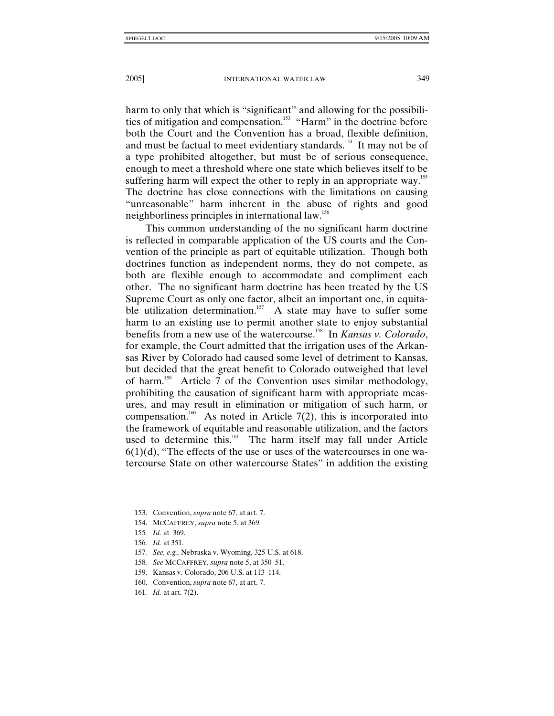harm to only that which is "significant" and allowing for the possibilities of mitigation and compensation.<sup>153</sup> "Harm" in the doctrine before both the Court and the Convention has a broad, flexible definition, and must be factual to meet evidentiary standards.<sup>154</sup> It may not be of a type prohibited altogether, but must be of serious consequence, enough to meet a threshold where one state which believes itself to be suffering harm will expect the other to reply in an appropriate way.<sup>155</sup> The doctrine has close connections with the limitations on causing "unreasonable" harm inherent in the abuse of rights and good neighborliness principles in international law.<sup>156</sup>

This common understanding of the no significant harm doctrine is reflected in comparable application of the US courts and the Convention of the principle as part of equitable utilization. Though both doctrines function as independent norms, they do not compete, as both are flexible enough to accommodate and compliment each other. The no significant harm doctrine has been treated by the US Supreme Court as only one factor, albeit an important one, in equitable utilization determination.<sup>157</sup> A state may have to suffer some harm to an existing use to permit another state to enjoy substantial benefits from a new use of the watercourse.158 In *Kansas v. Colorado*, for example, the Court admitted that the irrigation uses of the Arkansas River by Colorado had caused some level of detriment to Kansas, but decided that the great benefit to Colorado outweighed that level of harm.159 Article 7 of the Convention uses similar methodology, prohibiting the causation of significant harm with appropriate measures, and may result in elimination or mitigation of such harm, or compensation.<sup>160</sup> As noted in Article 7(2), this is incorporated into the framework of equitable and reasonable utilization, and the factors used to determine this.<sup>161</sup> The harm itself may fall under Article  $6(1)(d)$ , "The effects of the use or uses of the watercourses in one watercourse State on other watercourse States" in addition the existing

 <sup>153.</sup> Convention, *supra* note 67, at art. 7.

 <sup>154.</sup> MCCAFFREY, *supra* note 5, at 369.

<sup>155</sup>*. Id.* at 369.

<sup>156</sup>*. Id.* at 351.

<sup>157</sup>*. See, e.g.,* Nebraska v. Wyoming, 325 U.S. at 618.

<sup>158</sup>*. See* MCCAFFREY, *supra* note 5, at 350–51.

 <sup>159.</sup> Kansas v. Colorado, 206 U.S. at 113–114.

 <sup>160.</sup> Convention, *supra* note 67, at art. 7.

<sup>161</sup>*. Id.* at art. 7(2).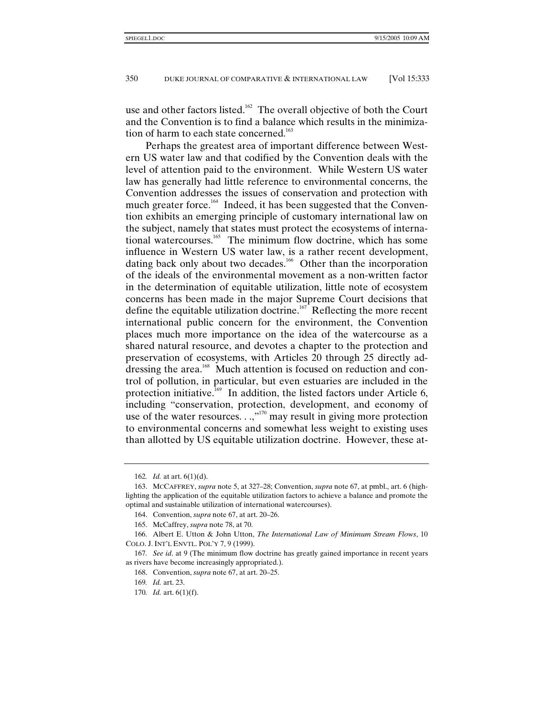use and other factors listed.<sup>162</sup> The overall objective of both the Court and the Convention is to find a balance which results in the minimization of harm to each state concerned.<sup>163</sup>

Perhaps the greatest area of important difference between Western US water law and that codified by the Convention deals with the level of attention paid to the environment. While Western US water law has generally had little reference to environmental concerns, the Convention addresses the issues of conservation and protection with much greater force.<sup>164</sup> Indeed, it has been suggested that the Convention exhibits an emerging principle of customary international law on the subject, namely that states must protect the ecosystems of international watercourses.<sup>165</sup> The minimum flow doctrine, which has some influence in Western US water law, is a rather recent development, dating back only about two decades.<sup>166</sup> Other than the incorporation of the ideals of the environmental movement as a non-written factor in the determination of equitable utilization, little note of ecosystem concerns has been made in the major Supreme Court decisions that define the equitable utilization doctrine.<sup> $167$ </sup> Reflecting the more recent international public concern for the environment, the Convention places much more importance on the idea of the watercourse as a shared natural resource, and devotes a chapter to the protection and preservation of ecosystems, with Articles 20 through 25 directly addressing the area.<sup>168</sup> Much attention is focused on reduction and control of pollution, in particular, but even estuaries are included in the protection initiative.<sup>169</sup> In addition, the listed factors under Article 6, including "conservation, protection, development, and economy of use of the water resources.  $\ldots$ <sup>170</sup> may result in giving more protection to environmental concerns and somewhat less weight to existing uses than allotted by US equitable utilization doctrine. However, these at-

<sup>162</sup>*. Id.* at art. 6(1)(d).

 <sup>163.</sup> MCCAFFREY, *supra* note 5, at 327–28; Convention, *supra* note 67, at pmbl., art. 6 (highlighting the application of the equitable utilization factors to achieve a balance and promote the optimal and sustainable utilization of international watercourses).

 <sup>164.</sup> Convention, *supra* note 67, at art. 20–26.

 <sup>165.</sup> McCaffrey, *supra* note 78, at 70.

 <sup>166.</sup> Albert E. Utton & John Utton, *The International Law of Minimum Stream Flows*, 10 COLO. J. INT'L ENVTL. POL'Y 7, 9 (1999).

<sup>167</sup>*. See id*. at 9 (The minimum flow doctrine has greatly gained importance in recent years as rivers have become increasingly appropriated.).

 <sup>168.</sup> Convention, *supra* note 67, at art. 20–25.

<sup>169</sup>*. Id.* art. 23.

<sup>170</sup>*. Id.* art. 6(1)(f).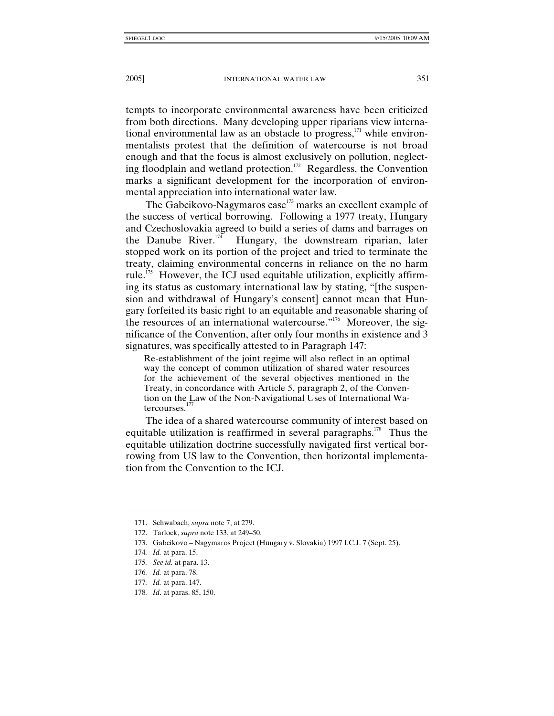tempts to incorporate environmental awareness have been criticized from both directions. Many developing upper riparians view international environmental law as an obstacle to progress, $^{171}$  while environmentalists protest that the definition of watercourse is not broad enough and that the focus is almost exclusively on pollution, neglecting floodplain and wetland protection.172 Regardless, the Convention marks a significant development for the incorporation of environmental appreciation into international water law.

The Gabcikovo-Nagymaros case $173$  marks an excellent example of the success of vertical borrowing. Following a 1977 treaty, Hungary and Czechoslovakia agreed to build a series of dams and barrages on the Danube River. $174$  Hungary, the downstream riparian, later stopped work on its portion of the project and tried to terminate the treaty, claiming environmental concerns in reliance on the no harm rule.<sup>175</sup> However, the ICJ used equitable utilization, explicitly affirming its status as customary international law by stating, "[the suspension and withdrawal of Hungary's consent] cannot mean that Hungary forfeited its basic right to an equitable and reasonable sharing of the resources of an international watercourse."<sup>176</sup> Moreover, the significance of the Convention, after only four months in existence and 3 signatures, was specifically attested to in Paragraph 147:

Re-establishment of the joint regime will also reflect in an optimal way the concept of common utilization of shared water resources for the achievement of the several objectives mentioned in the Treaty, in concordance with Article 5, paragraph 2, of the Convention on the Law of the Non-Navigational Uses of International Watercourses.<sup>17</sup>

The idea of a shared watercourse community of interest based on equitable utilization is reaffirmed in several paragraphs.<sup>178</sup> Thus the equitable utilization doctrine successfully navigated first vertical borrowing from US law to the Convention, then horizontal implementation from the Convention to the ICJ.

 <sup>171.</sup> Schwabach, *supra* note 7, at 279.

 <sup>172.</sup> Tarlock, *supra* note 133, at 249–50.

 <sup>173.</sup> Gabcikovo – Nagymaros Project (Hungary v. Slovakia) 1997 I.C.J. 7 (Sept. 25).

<sup>174</sup>*. Id.* at para. 15.

<sup>175</sup>*. See id.* at para. 13.

<sup>176</sup>*. Id.* at para. 78.

<sup>177</sup>*. Id.* at para. 147.

<sup>178</sup>*. Id*. at paras. 85, 150.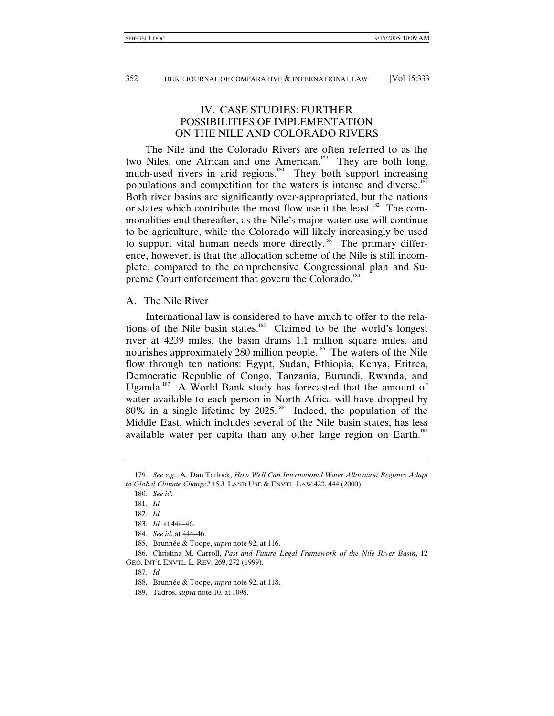# IV. CASE STUDIES: FURTHER POSSIBILITIES OF IMPLEMENTATION ON THE NILE AND COLORADO RIVERS

The Nile and the Colorado Rivers are often referred to as the two Niles, one African and one American.<sup>179</sup> They are both long, much-used rivers in arid regions.<sup>180</sup> They both support increasing populations and competition for the waters is intense and diverse.<sup>181</sup> Both river basins are significantly over-appropriated, but the nations or states which contribute the most flow use it the least.<sup>182</sup> The commonalities end thereafter, as the Nile's major water use will continue to be agriculture, while the Colorado will likely increasingly be used to support vital human needs more directly.<sup>183</sup> The primary difference, however, is that the allocation scheme of the Nile is still incomplete, compared to the comprehensive Congressional plan and Supreme Court enforcement that govern the Colorado.<sup>184</sup>

## A. The Nile River

International law is considered to have much to offer to the relations of the Nile basin states.<sup>185</sup> Claimed to be the world's longest river at 4239 miles, the basin drains 1.1 million square miles, and nourishes approximately 280 million people.<sup>186</sup> The waters of the Nile flow through ten nations: Egypt, Sudan, Ethiopia, Kenya, Eritrea, Democratic Republic of Congo, Tanzania, Burundi, Rwanda, and Uganda.<sup>187</sup> A World Bank study has forecasted that the amount of water available to each person in North Africa will have dropped by 80% in a single lifetime by 2025.<sup>188</sup> Indeed, the population of the Middle East, which includes several of the Nile basin states, has less available water per capita than any other large region on Earth.<sup>189</sup>

<sup>179</sup>*. See e.g.*, A. Dan Tarlock, *How Well Can International Water Allocation Regimes Adapt to Global Climate Change?* 15 J. LAND USE & ENVTL. LAW 423, 444 (2000).

<sup>180</sup>*. See id.*

<sup>181</sup>*. Id.*

<sup>182</sup>*. Id.*

<sup>183</sup>*. Id.* at 444–46.

<sup>184</sup>*. See id.* at 444–46.

 <sup>185.</sup> Brunnée & Toope, *supra* note 92, at 116.

 <sup>186.</sup> Christina M. Carroll, *Past and Future Legal Framework of the Nile River Basin*, 12 GEO. INT'L ENVTL. L. REV. 269, 272 (1999).

<sup>187</sup>*. Id.*

 <sup>188.</sup> Brunnée & Toope, *supra* note 92, at 118.

 <sup>189.</sup> Tadros, *supra* note 10, at 1098.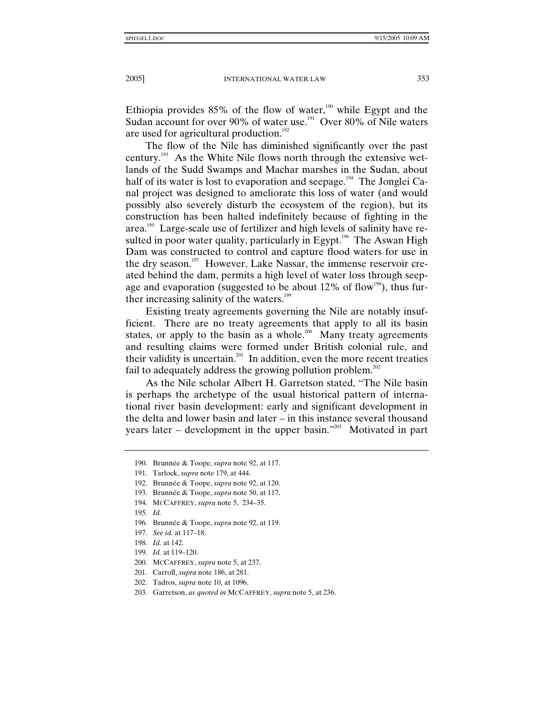Ethiopia provides  $85\%$  of the flow of water,<sup>190</sup> while Egypt and the Sudan account for over 90% of water use.<sup>191</sup> Over 80% of Nile waters are used for agricultural production.<sup>192</sup>

The flow of the Nile has diminished significantly over the past century.<sup>193</sup> As the White Nile flows north through the extensive wetlands of the Sudd Swamps and Machar marshes in the Sudan, about half of its water is lost to evaporation and seepage.<sup>194</sup> The Jonglei Canal project was designed to ameliorate this loss of water (and would possibly also severely disturb the ecosystem of the region), but its construction has been halted indefinitely because of fighting in the area.<sup>195</sup> Large-scale use of fertilizer and high levels of salinity have resulted in poor water quality, particularly in Egypt.<sup>196</sup> The Aswan High Dam was constructed to control and capture flood waters for use in the dry season.<sup>197</sup> However, Lake Nassar, the immense reservoir created behind the dam, permits a high level of water loss through seepage and evaporation (suggested to be about  $12\%$  of flow<sup>198</sup>), thus further increasing salinity of the waters.<sup>199</sup>

Existing treaty agreements governing the Nile are notably insufficient. There are no treaty agreements that apply to all its basin states, or apply to the basin as a whole.<sup>200</sup> Many treaty agreements and resulting claims were formed under British colonial rule, and their validity is uncertain.<sup>201</sup> In addition, even the more recent treaties fail to adequately address the growing pollution problem.<sup>202</sup>

As the Nile scholar Albert H. Garretson stated, "The Nile basin is perhaps the archetype of the usual historical pattern of international river basin development: early and significant development in the delta and lower basin and later – in this instance several thousand years later – development in the upper basin."<sup>203</sup> Motivated in part

- 198*. Id.* at 142.
- 199*. Id.* at 119–120.
- 200. MCCAFFREY, *supra* note 5, at 237.
- 201. Carroll, *supra* note 186, at 281.
- 202. Tadros, *supra* note 10, at 1096.
- 203. Garretson, *as quoted in* MCCAFFREY, *supra* note 5, at 236.

 <sup>190.</sup> Brunnée & Toope, *supra* note 92, at 117.

 <sup>191.</sup> Tarlock, *supra* note 179, at 444.

 <sup>192.</sup> Brunnée & Toope, *supra* note 92, at 120.

 <sup>193.</sup> Brunnée & Toope, *supra* note 50, at 117.

 <sup>194.</sup> MCCAFFREY, *supra* note 5, 234–35.

<sup>195</sup>*. Id.*

 <sup>196.</sup> Brunnée & Toope, *supra* note 92, at 119.

<sup>197</sup>*. See id.* at 117–18.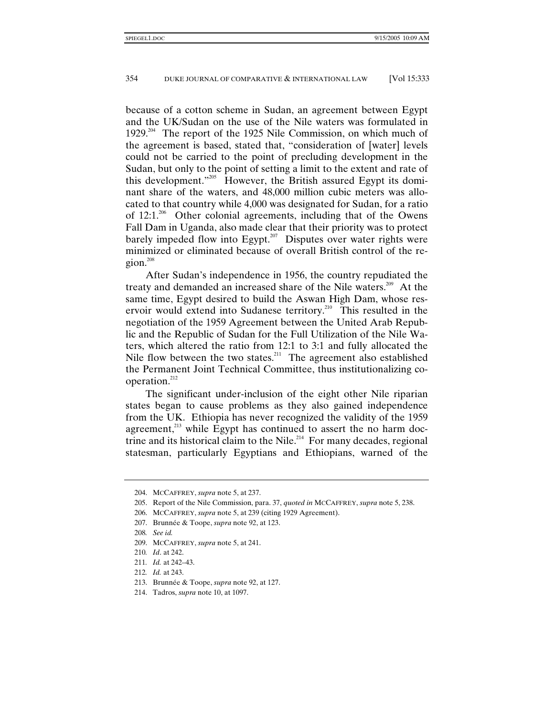because of a cotton scheme in Sudan, an agreement between Egypt and the UK/Sudan on the use of the Nile waters was formulated in 1929.<sup>204</sup> The report of the 1925 Nile Commission, on which much of the agreement is based, stated that, "consideration of [water] levels could not be carried to the point of precluding development in the Sudan, but only to the point of setting a limit to the extent and rate of this development."205 However, the British assured Egypt its dominant share of the waters, and 48,000 million cubic meters was allocated to that country while 4,000 was designated for Sudan, for a ratio of  $12:1.^{206}$  Other colonial agreements, including that of the Owens Fall Dam in Uganda, also made clear that their priority was to protect barely impeded flow into Egypt.<sup>207</sup> Disputes over water rights were minimized or eliminated because of overall British control of the region. $208$ 

After Sudan's independence in 1956, the country repudiated the treaty and demanded an increased share of the Nile waters.<sup>209</sup> At the same time, Egypt desired to build the Aswan High Dam, whose reservoir would extend into Sudanese territory.<sup>210</sup> This resulted in the negotiation of the 1959 Agreement between the United Arab Republic and the Republic of Sudan for the Full Utilization of the Nile Waters, which altered the ratio from 12:1 to 3:1 and fully allocated the Nile flow between the two states.<sup>211</sup> The agreement also established the Permanent Joint Technical Committee, thus institutionalizing cooperation. $^{212}$ 

The significant under-inclusion of the eight other Nile riparian states began to cause problems as they also gained independence from the UK. Ethiopia has never recognized the validity of the 1959 agreement, $^{213}$  while Egypt has continued to assert the no harm doctrine and its historical claim to the Nile.<sup>214</sup> For many decades, regional statesman, particularly Egyptians and Ethiopians, warned of the

 <sup>204.</sup> MCCAFFREY, *supra* note 5, at 237.

 <sup>205.</sup> Report of the Nile Commission, para. 37, *quoted in* MCCAFFREY, *supra* note 5, 238.

 <sup>206.</sup> MCCAFFREY, *supra* note 5, at 239 (citing 1929 Agreement).

 <sup>207.</sup> Brunnée & Toope, *supra* note 92, at 123.

<sup>208</sup>*. See id.*

 <sup>209.</sup> MCCAFFREY, *supra* note 5, at 241.

<sup>210</sup>*. Id*. at 242.

<sup>211</sup>*. Id.* at 242–43.

<sup>212</sup>*. Id.* at 243.

 <sup>213.</sup> Brunnée & Toope, *supra* note 92, at 127.

 <sup>214.</sup> Tadros, *supra* note 10, at 1097.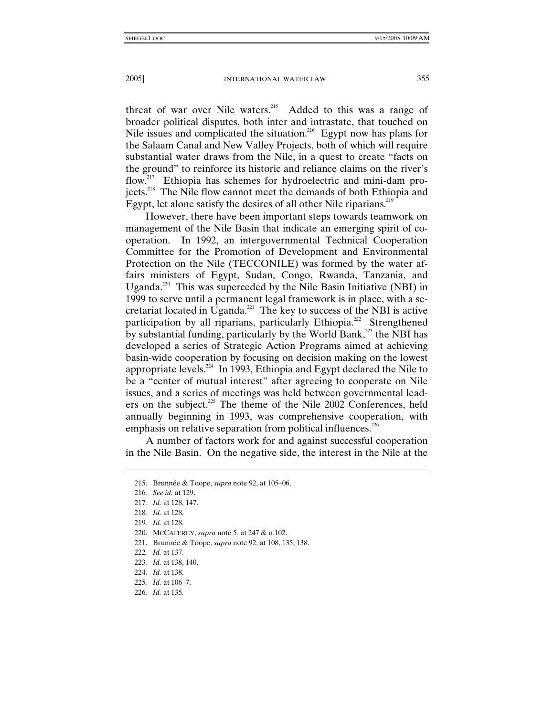threat of war over Nile waters.<sup>215</sup> Added to this was a range of broader political disputes, both inter and intrastate, that touched on Nile issues and complicated the situation.<sup>216</sup> Egypt now has plans for the Salaam Canal and New Valley Projects, both of which will require substantial water draws from the Nile, in a quest to create "facts on the ground" to reinforce its historic and reliance claims on the river's flow.<sup>217</sup> Ethiopia has schemes for hydroelectric and mini-dam projects.<sup>218</sup> The Nile flow cannot meet the demands of both Ethiopia and Egypt, let alone satisfy the desires of all other Nile riparians.<sup>219</sup>

However, there have been important steps towards teamwork on management of the Nile Basin that indicate an emerging spirit of cooperation. In 1992, an intergovernmental Technical Cooperation Committee for the Promotion of Development and Environmental Protection on the Nile (TECCONILE) was formed by the water affairs ministers of Egypt, Sudan, Congo, Rwanda, Tanzania, and Uganda.<sup>220</sup> This was superceded by the Nile Basin Initiative (NBI) in 1999 to serve until a permanent legal framework is in place, with a secretariat located in Uganda.<sup>221</sup> The key to success of the NBI is active participation by all riparians, particularly Ethiopia.<sup>222</sup> Strengthened by substantial funding, particularly by the World Bank,<sup>223</sup> the NBI has developed a series of Strategic Action Programs aimed at achieving basin-wide cooperation by focusing on decision making on the lowest appropriate levels.<sup>224</sup> In 1993, Ethiopia and Egypt declared the Nile to be a "center of mutual interest" after agreeing to cooperate on Nile issues, and a series of meetings was held between governmental leaders on the subject.<sup>225</sup> The theme of the Nile 2002 Conferences, held annually beginning in 1993, was comprehensive cooperation, with emphasis on relative separation from political influences.<sup>226</sup>

A number of factors work for and against successful cooperation in the Nile Basin. On the negative side, the interest in the Nile at the

 <sup>215.</sup> Brunnée & Toope, *supra* note 92, at 105–06.

<sup>216</sup>*. See id.* at 129.

<sup>217</sup>*. Id.* at 128, 147.

<sup>218</sup>*. Id.* at 128.

<sup>219</sup>*. Id.* at 128.

 <sup>220.</sup> MCCAFFREY, *supra* note 5, at 247 & n.102.

 <sup>221.</sup> Brunnée & Toope, *supra* note 92, at 108, 135, 138.

<sup>222</sup>*. Id.* at 137.

<sup>223</sup>*. Id.* at 138, 140.

<sup>224</sup>*. Id.* at 138.

<sup>225</sup>*. Id.* at 106–7.

<sup>226</sup>*. Id.* at 135.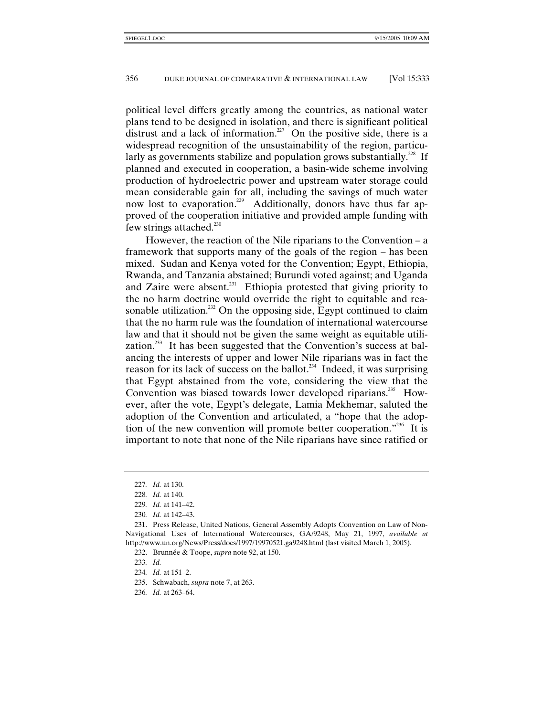political level differs greatly among the countries, as national water plans tend to be designed in isolation, and there is significant political distrust and a lack of information.<sup>227</sup> On the positive side, there is a widespread recognition of the unsustainability of the region, particularly as governments stabilize and population grows substantially.<sup>228</sup> If planned and executed in cooperation, a basin-wide scheme involving production of hydroelectric power and upstream water storage could mean considerable gain for all, including the savings of much water now lost to evaporation.<sup>229</sup> Additionally, donors have thus far approved of the cooperation initiative and provided ample funding with few strings attached.<sup>230</sup>

However, the reaction of the Nile riparians to the Convention  $-a$ framework that supports many of the goals of the region – has been mixed. Sudan and Kenya voted for the Convention; Egypt, Ethiopia, Rwanda, and Tanzania abstained; Burundi voted against; and Uganda and Zaire were absent.<sup>231</sup> Ethiopia protested that giving priority to the no harm doctrine would override the right to equitable and reasonable utilization.<sup>232</sup> On the opposing side, Egypt continued to claim that the no harm rule was the foundation of international watercourse law and that it should not be given the same weight as equitable utilization.<sup>233</sup> It has been suggested that the Convention's success at balancing the interests of upper and lower Nile riparians was in fact the reason for its lack of success on the ballot.<sup>234</sup> Indeed, it was surprising that Egypt abstained from the vote, considering the view that the Convention was biased towards lower developed riparians.<sup>235</sup> However, after the vote, Egypt's delegate, Lamia Mekhemar, saluted the adoption of the Convention and articulated, a "hope that the adoption of the new convention will promote better cooperation."<sup>236</sup> It is important to note that none of the Nile riparians have since ratified or

<sup>227</sup>*. Id.* at 130.

<sup>228</sup>*. Id.* at 140.

<sup>229</sup>*. Id.* at 141–42.

<sup>230</sup>*. Id.* at 142–43.

 <sup>231.</sup> Press Release, United Nations, General Assembly Adopts Convention on Law of Non-Navigational Uses of International Watercourses, GA/9248, May 21, 1997, *available at*  http://www.un.org/News/Press/docs/1997/19970521.ga9248.html (last visited March 1, 2005).

 <sup>232.</sup> Brunnée & Toope, *supra* note 92, at 150.

<sup>233</sup>*. Id.*

<sup>234</sup>*. Id.* at 151–2.

 <sup>235.</sup> Schwabach, *supra* note 7, at 263.

<sup>236</sup>*. Id.* at 263–64.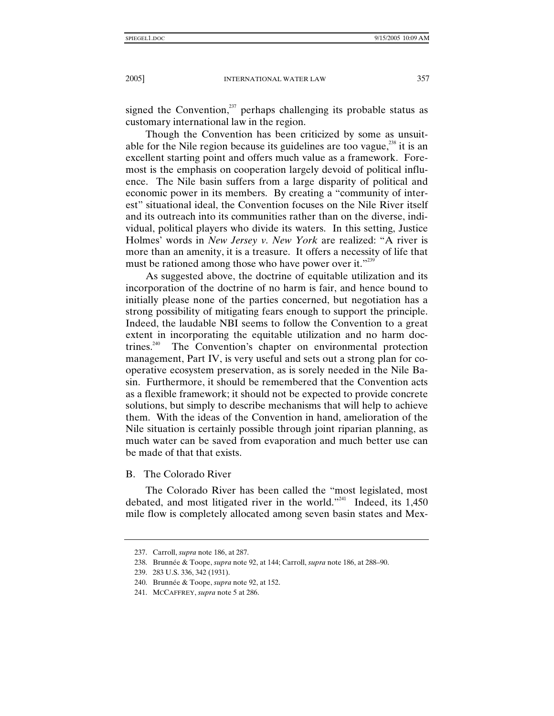signed the Convention, $237$  perhaps challenging its probable status as customary international law in the region.

Though the Convention has been criticized by some as unsuitable for the Nile region because its guidelines are too vague, $^{238}$  it is an excellent starting point and offers much value as a framework. Foremost is the emphasis on cooperation largely devoid of political influence. The Nile basin suffers from a large disparity of political and economic power in its members. By creating a "community of interest" situational ideal, the Convention focuses on the Nile River itself and its outreach into its communities rather than on the diverse, individual, political players who divide its waters. In this setting, Justice Holmes' words in *New Jersey v. New York* are realized: "A river is more than an amenity, it is a treasure. It offers a necessity of life that must be rationed among those who have power over it."<sup>239</sup>

As suggested above, the doctrine of equitable utilization and its incorporation of the doctrine of no harm is fair, and hence bound to initially please none of the parties concerned, but negotiation has a strong possibility of mitigating fears enough to support the principle. Indeed, the laudable NBI seems to follow the Convention to a great extent in incorporating the equitable utilization and no harm doctrines.<sup>240</sup> The Convention's chapter on environmental protection management, Part IV, is very useful and sets out a strong plan for cooperative ecosystem preservation, as is sorely needed in the Nile Basin. Furthermore, it should be remembered that the Convention acts as a flexible framework; it should not be expected to provide concrete solutions, but simply to describe mechanisms that will help to achieve them. With the ideas of the Convention in hand, amelioration of the Nile situation is certainly possible through joint riparian planning, as much water can be saved from evaporation and much better use can be made of that that exists.

B. The Colorado River

The Colorado River has been called the "most legislated, most debated, and most litigated river in the world."<sup>241</sup> Indeed, its  $1,450$ mile flow is completely allocated among seven basin states and Mex-

 <sup>237.</sup> Carroll, *supra* note 186, at 287.

 <sup>238.</sup> Brunnée & Toope, *supra* note 92, at 144; Carroll, *supra* note 186, at 288–90.

 <sup>239. 283</sup> U.S. 336, 342 (1931).

 <sup>240.</sup> Brunnée & Toope, *supra* note 92, at 152.

 <sup>241.</sup> MCCAFFREY, *supra* note 5 at 286.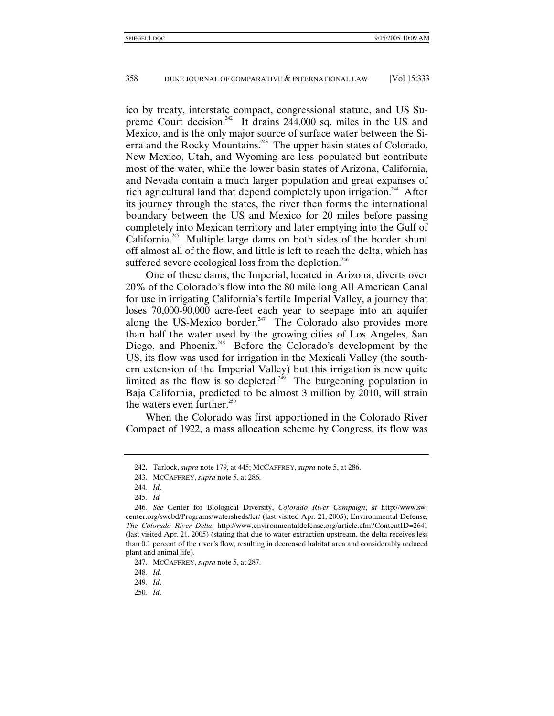ico by treaty, interstate compact, congressional statute, and US Supreme Court decision.<sup>242</sup> It drains  $244,000$  sq. miles in the US and Mexico, and is the only major source of surface water between the Sierra and the Rocky Mountains.<sup>243</sup> The upper basin states of Colorado, New Mexico, Utah, and Wyoming are less populated but contribute most of the water, while the lower basin states of Arizona, California, and Nevada contain a much larger population and great expanses of rich agricultural land that depend completely upon irrigation.<sup>244</sup> After its journey through the states, the river then forms the international boundary between the US and Mexico for 20 miles before passing completely into Mexican territory and later emptying into the Gulf of California.<sup>245</sup> Multiple large dams on both sides of the border shunt off almost all of the flow, and little is left to reach the delta, which has suffered severe ecological loss from the depletion.<sup>246</sup>

One of these dams, the Imperial, located in Arizona, diverts over 20% of the Colorado's flow into the 80 mile long All American Canal for use in irrigating California's fertile Imperial Valley, a journey that loses 70,000-90,000 acre-feet each year to seepage into an aquifer along the US-Mexico border.<sup>247</sup> The Colorado also provides more than half the water used by the growing cities of Los Angeles, San Diego, and Phoenix.<sup>248</sup> Before the Colorado's development by the US, its flow was used for irrigation in the Mexicali Valley (the southern extension of the Imperial Valley) but this irrigation is now quite limited as the flow is so depleted.<sup>249</sup> The burgeoning population in Baja California, predicted to be almost 3 million by 2010, will strain the waters even further. $250$ 

When the Colorado was first apportioned in the Colorado River Compact of 1922, a mass allocation scheme by Congress, its flow was

 <sup>242.</sup> Tarlock, *supra* note 179, at 445; MCCAFFREY, *supra* note 5, at 286.

 <sup>243.</sup> MCCAFFREY, *supra* note 5, at 286.

<sup>244</sup>*. Id*.

<sup>245</sup>*. Id.*

<sup>246</sup>*. See* Center for Biological Diversity, *Colorado River Campaign*, *at* http://www.swcenter.org/swcbd/Programs/watersheds/lcr/ (last visited Apr. 21, 2005); Environmental Defense, *The Colorado River Delta*, http://www.environmentaldefense.org/article.cfm?ContentID=2641 (last visited Apr. 21, 2005) (stating that due to water extraction upstream, the delta receives less than 0.1 percent of the river's flow, resulting in decreased habitat area and considerably reduced plant and animal life).

 <sup>247.</sup> MCCAFFREY, *supra* note 5, at 287.

<sup>248</sup>*. Id*.

<sup>249</sup>*. Id*.

<sup>250</sup>*. Id*.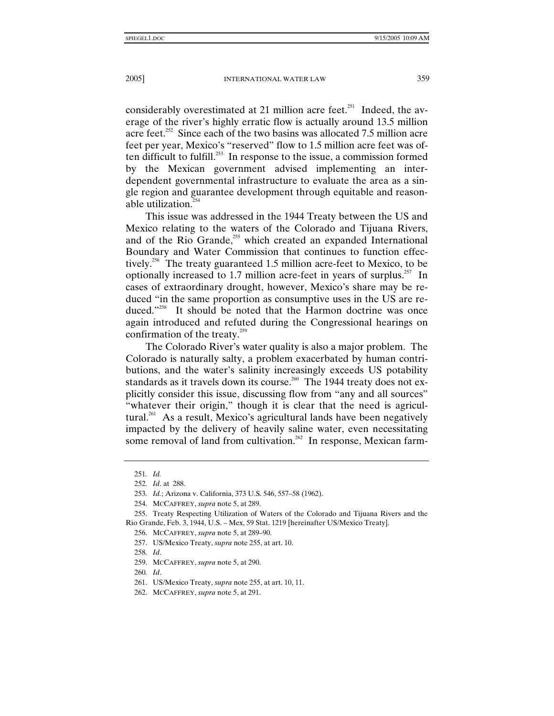considerably overestimated at 21 million acre feet.<sup>251</sup> Indeed, the average of the river's highly erratic flow is actually around 13.5 million acre feet.<sup>252</sup> Since each of the two basins was allocated 7.5 million acre feet per year, Mexico's "reserved" flow to 1.5 million acre feet was often difficult to fulfill.<sup>253</sup> In response to the issue, a commission formed by the Mexican government advised implementing an interdependent governmental infrastructure to evaluate the area as a single region and guarantee development through equitable and reasonable utilization.<sup>254</sup>

This issue was addressed in the 1944 Treaty between the US and Mexico relating to the waters of the Colorado and Tijuana Rivers, and of the Rio Grande,<sup>255</sup> which created an expanded International Boundary and Water Commission that continues to function effectively.256 The treaty guaranteed 1.5 million acre-feet to Mexico, to be optionally increased to 1.7 million acre-feet in years of surplus.<sup>257</sup> In cases of extraordinary drought, however, Mexico's share may be reduced "in the same proportion as consumptive uses in the US are reduced."<sup>258</sup> It should be noted that the Harmon doctrine was once again introduced and refuted during the Congressional hearings on confirmation of the treaty.<sup>259</sup>

The Colorado River's water quality is also a major problem. The Colorado is naturally salty, a problem exacerbated by human contributions, and the water's salinity increasingly exceeds US potability standards as it travels down its course.<sup>260</sup> The 1944 treaty does not explicitly consider this issue, discussing flow from "any and all sources" "whatever their origin," though it is clear that the need is agricultural.<sup>261</sup> As a result, Mexico's agricultural lands have been negatively impacted by the delivery of heavily saline water, even necessitating some removal of land from cultivation.<sup>262</sup> In response, Mexican farm-

<sup>251</sup>*. Id.*

<sup>252</sup>*. Id*. at 288.

<sup>253</sup>*. Id.*; Arizona v. California, 373 U.S. 546, 557–58 (1962).

 <sup>254.</sup> MCCAFFREY, *supra* note 5, at 289.

 <sup>255.</sup> Treaty Respecting Utilization of Waters of the Colorado and Tijuana Rivers and the Rio Grande, Feb. 3, 1944, U.S. – Mex, 59 Stat. 1219 [hereinafter US/Mexico Treaty].

 <sup>256.</sup> MCCAFFREY, *supra* note 5, at 289–90.

 <sup>257.</sup> US/Mexico Treaty, *supra* note 255, at art. 10.

<sup>258</sup>*. Id*.

 <sup>259.</sup> MCCAFFREY, *supra* note 5, at 290.

<sup>260</sup>*. Id*.

 <sup>261.</sup> US/Mexico Treaty, *supra* note 255, at art. 10, 11.

 <sup>262.</sup> MCCAFFREY, *supra* note 5, at 291.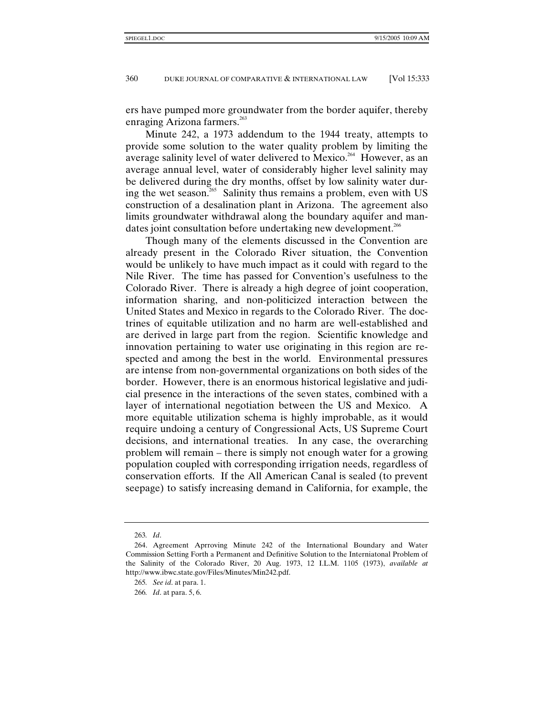ers have pumped more groundwater from the border aquifer, thereby enraging Arizona farmers. $^{263}$ 

Minute 242, a 1973 addendum to the 1944 treaty, attempts to provide some solution to the water quality problem by limiting the average salinity level of water delivered to Mexico.<sup>264</sup> However, as an average annual level, water of considerably higher level salinity may be delivered during the dry months, offset by low salinity water during the wet season.<sup>265</sup> Salinity thus remains a problem, even with US construction of a desalination plant in Arizona. The agreement also limits groundwater withdrawal along the boundary aquifer and mandates joint consultation before undertaking new development.<sup>266</sup>

Though many of the elements discussed in the Convention are already present in the Colorado River situation, the Convention would be unlikely to have much impact as it could with regard to the Nile River. The time has passed for Convention's usefulness to the Colorado River. There is already a high degree of joint cooperation, information sharing, and non-politicized interaction between the United States and Mexico in regards to the Colorado River. The doctrines of equitable utilization and no harm are well-established and are derived in large part from the region. Scientific knowledge and innovation pertaining to water use originating in this region are respected and among the best in the world. Environmental pressures are intense from non-governmental organizations on both sides of the border. However, there is an enormous historical legislative and judicial presence in the interactions of the seven states, combined with a layer of international negotiation between the US and Mexico. A more equitable utilization schema is highly improbable, as it would require undoing a century of Congressional Acts, US Supreme Court decisions, and international treaties. In any case, the overarching problem will remain – there is simply not enough water for a growing population coupled with corresponding irrigation needs, regardless of conservation efforts. If the All American Canal is sealed (to prevent seepage) to satisfy increasing demand in California, for example, the

<sup>263</sup>*. Id*.

 <sup>264.</sup> Agreement Aprroving Minute 242 of the International Boundary and Water Commission Setting Forth a Permanent and Definitive Solution to the Interniatonal Problem of the Salinity of the Colorado River, 20 Aug. 1973, 12 I.L.M. 1105 (1973), *available at* http://www.ibwc.state.gov/Files/Minutes/Min242.pdf.

<sup>265</sup>*. See id*. at para. 1.

<sup>266</sup>*. Id*. at para. 5, 6.